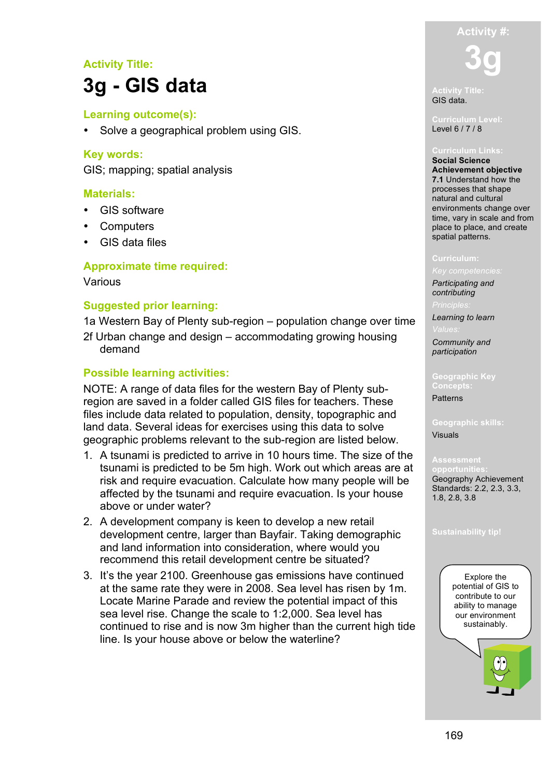# **Activity Title: 3g - GIS data**

### **Learning outcome(s):**

• Solve a geographical problem using GIS.

#### **Key words:**

GIS; mapping; spatial analysis

#### **Materials:**

- GIS software
- Computers
- GIS data files

### **Approximate time required:**

#### Various

#### **Suggested prior learning:**

1a Western Bay of Plenty sub-region – population change over time

2f Urban change and design – accommodating growing housing demand

### **Possible learning activities:**

NOTE: A range of data files for the western Bay of Plenty subregion are saved in a folder called GIS files for teachers. These files include data related to population, density, topographic and land data. Several ideas for exercises using this data to solve geographic problems relevant to the sub-region are listed below.

- 1. A tsunami is predicted to arrive in 10 hours time. The size of the tsunami is predicted to be 5m high. Work out which areas are at risk and require evacuation. Calculate how many people will be affected by the tsunami and require evacuation. Is your house above or under water?
- 2. A development company is keen to develop a new retail development centre, larger than Bayfair. Taking demographic and land information into consideration, where would you recommend this retail development centre be situated?
- 3. It's the year 2100. Greenhouse gas emissions have continued at the same rate they were in 2008. Sea level has risen by 1m. Locate Marine Parade and review the potential impact of this sea level rise. Change the scale to 1:2,000. Sea level has continued to rise and is now 3m higher than the current high tide line. Is your house above or below the waterline?

**Activity #: 3g**

**Activity Title:** GIS data.

Level 6 / 7 / 8

**Social Science Achievement objective 7.1** Understand how the processes that shape natural and cultural environments change over time, vary in scale and from place to place, and create spatial patterns.

*Participating and* 

*contributing*

*Learning to learn*

*Community and participation*

**Geographic Key Concepts:** Patterns

**Geographic skills:** Visuals

## **opportunities:** Geography Achievement

Standards: 2.2, 2.3, 3.3, 1.8, 2.8, 3.8

**Sustainability tip!**